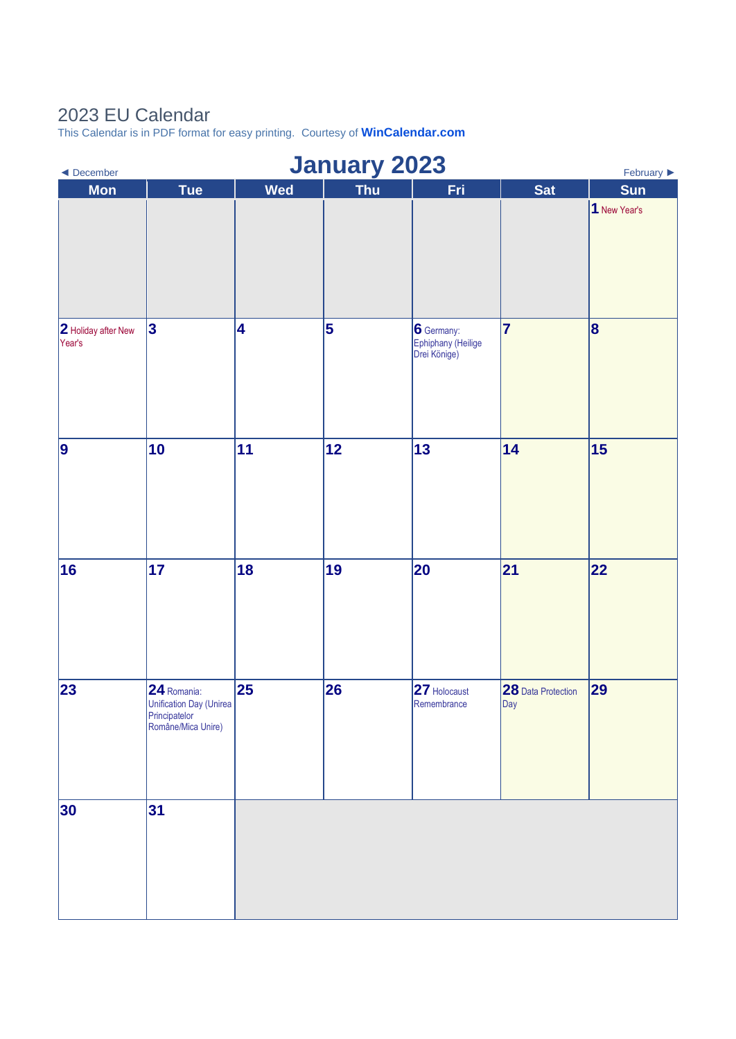## 2023 EU Calendar

This Calendar is in PDF format for easy printing. Courtesy of **[WinCalendar.com](https://www.wincalendar.com/2023-Calendar-with-EU-Holidays)**

| <b>January 2023</b><br>$\blacktriangleleft$ December<br>February $\blacktriangleright$ |                                                                               |            |     |                                                  |                           |              |  |  |
|----------------------------------------------------------------------------------------|-------------------------------------------------------------------------------|------------|-----|--------------------------------------------------|---------------------------|--------------|--|--|
| <b>Mon</b>                                                                             | <b>Tue</b>                                                                    | <b>Wed</b> | Thu | Fri                                              | <b>Sat</b>                | <b>Sun</b>   |  |  |
|                                                                                        |                                                                               |            |     |                                                  |                           | 1 New Year's |  |  |
| 2 Holiday after New<br>Year's                                                          | 3                                                                             | 4          | 5   | 6 Germany:<br>Ephiphany (Heilige<br>Drei Könige) | 7                         | 8            |  |  |
| 9                                                                                      | 10                                                                            | 11         | 12  | 13                                               | 14                        | 15           |  |  |
| 16                                                                                     | 17                                                                            | 18         | 19  | 20                                               | 21                        | 22           |  |  |
| 23                                                                                     | 24 Romania:<br>Unification Day (Unirea<br>Principatelor<br>Române/Mica Unire) | 25         | 26  | 27 Holocaust<br>Remembrance                      | 28 Data Protection<br>Day | 29           |  |  |
| 30                                                                                     | 31                                                                            |            |     |                                                  |                           |              |  |  |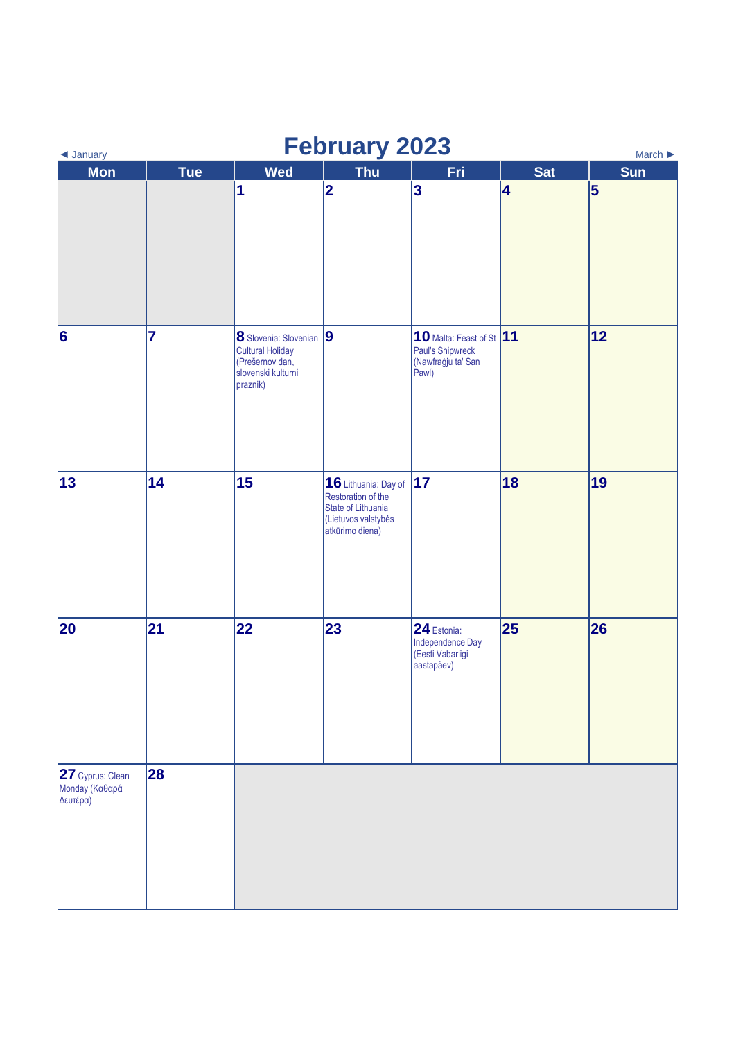| <b>February 2023</b><br>March $\blacktriangleright$<br>◀ January |            |                                                                                                         |                                                                                                            |                                                                             |            |     |  |
|------------------------------------------------------------------|------------|---------------------------------------------------------------------------------------------------------|------------------------------------------------------------------------------------------------------------|-----------------------------------------------------------------------------|------------|-----|--|
| <b>Mon</b>                                                       | <b>Tue</b> | <b>Wed</b>                                                                                              | <b>Thu</b>                                                                                                 | Fri                                                                         | <b>Sat</b> | Sun |  |
|                                                                  |            | 1                                                                                                       | $ 2\rangle$                                                                                                | $\overline{\mathbf{3}}$                                                     | 4          | 5   |  |
| $\vert 6 \vert$                                                  | 7          | 8 Slovenia: Slovenian 9<br><b>Cultural Holiday</b><br>(Prešernov dan,<br>slovenski kulturni<br>praznik) |                                                                                                            | 10 Malta: Feast of St 11<br>Paul's Shipwreck<br>(Nawfraġju ta' San<br>Pawl) |            | 12  |  |
| 13                                                               | 14         | 15                                                                                                      | 16 Lithuania: Day of<br>Restoration of the<br>State of Lithuania<br>(Lietuvos valstybės<br>atkūrimo diena) | 17                                                                          | 18         | 19  |  |
| 20                                                               | 21         | 22                                                                                                      | 23                                                                                                         | 24 Estonia:<br>Independence Day<br>(Eesti Vabariigi<br>aastapäev)           | 25         | 26  |  |
| 27 Cyprus: Clean<br>Monday (Καθαρά<br>Δευτέρα)                   | 28         |                                                                                                         |                                                                                                            |                                                                             |            |     |  |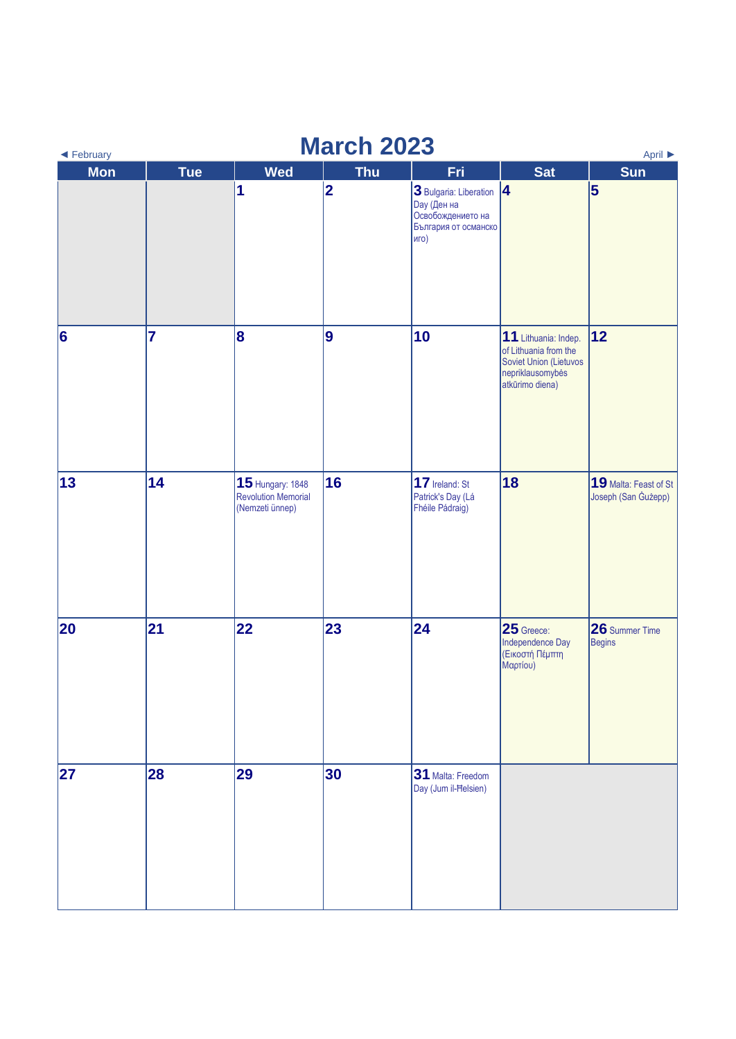| <b>March 2023</b><br>◀ February<br>April ▶ |                |                                                                   |            |                                                                                                     |                                                                                                                |                                              |  |  |
|--------------------------------------------|----------------|-------------------------------------------------------------------|------------|-----------------------------------------------------------------------------------------------------|----------------------------------------------------------------------------------------------------------------|----------------------------------------------|--|--|
| <b>Mon</b>                                 | <b>Tue</b>     | <b>Wed</b>                                                        | <b>Thu</b> | Fri                                                                                                 | <b>Sat</b>                                                                                                     | Sun                                          |  |  |
|                                            |                | 1                                                                 | 2          | 3 Bulgaria: Liberation 4<br><b>Day</b> (Ден на<br>Освобождението на<br>България от османско<br>иго) |                                                                                                                | 5                                            |  |  |
| $\vert 6 \vert$                            | $\overline{7}$ | 8                                                                 | 9          | 10                                                                                                  | 11 Lithuania: Indep.<br>of Lithuania from the<br>Soviet Union (Lietuvos<br>nepriklausomybės<br>atkūrimo diena) | 12                                           |  |  |
| 13                                         | 14             | 15 Hungary: 1848<br><b>Revolution Memorial</b><br>(Nemzeti ünnep) | 16         | 17 Ireland: St<br>Patrick's Day (Lá<br>Fhéile Pádraig)                                              | 18                                                                                                             | 19 Malta: Feast of St<br>Joseph (San Gużepp) |  |  |
| 20                                         | 21             | 22                                                                | 23         | 24                                                                                                  | 25 Greece:<br>Independence Day<br>(Εικοστή Πέμπτη<br>Μαρτίου)                                                  | 26 Summer Time<br><b>Begins</b>              |  |  |
| 27                                         | 28             | 29                                                                | 30         | 31 Malta: Freedom<br>Day (Jum il-Helsien)                                                           |                                                                                                                |                                              |  |  |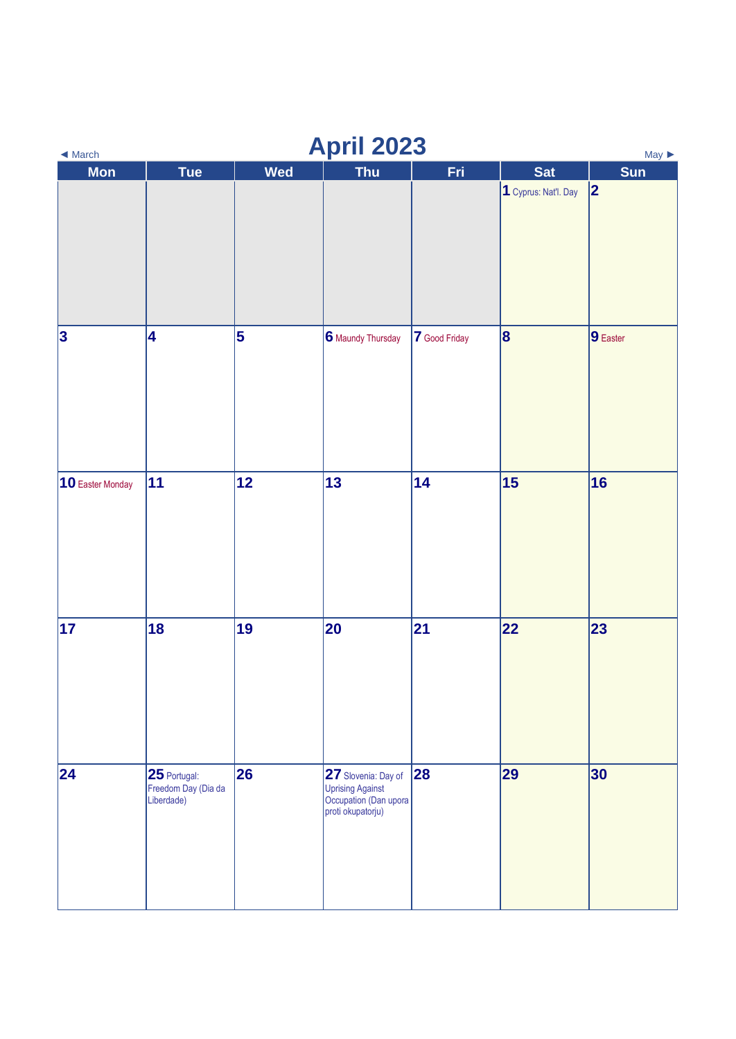| <b>April 2023</b><br>$May \triangleright$<br>$\blacktriangleleft$ March |                                                   |                         |                                                                                       |               |                      |            |  |
|-------------------------------------------------------------------------|---------------------------------------------------|-------------------------|---------------------------------------------------------------------------------------|---------------|----------------------|------------|--|
| <b>Mon</b>                                                              | Tue                                               | <b>Wed</b>              | <b>Thu</b>                                                                            | Fri           | <b>Sat</b>           | <b>Sun</b> |  |
|                                                                         |                                                   |                         |                                                                                       |               | 1 Cyprus: Nat'l. Day | 2          |  |
| $\vert 3 \vert$                                                         | 4                                                 | $\overline{\mathbf{5}}$ | 6 Maundy Thursday                                                                     | 7 Good Friday | $\vert 8 \vert$      | 9 Easter   |  |
| 10 Easter Monday                                                        | 11                                                | 12                      | 13                                                                                    | 14            | 15                   | 16         |  |
| 17                                                                      | 18                                                | 19                      | 20                                                                                    | 21            | 22                   | 23         |  |
| 24                                                                      | 25 Portugal:<br>Freedom Day (Dia da<br>Liberdade) | 26                      | 27 Slovenia: Day of<br>Uprising Against<br>Occupation (Dan upora<br>proti okupatorju) | 28            | 29                   | 30         |  |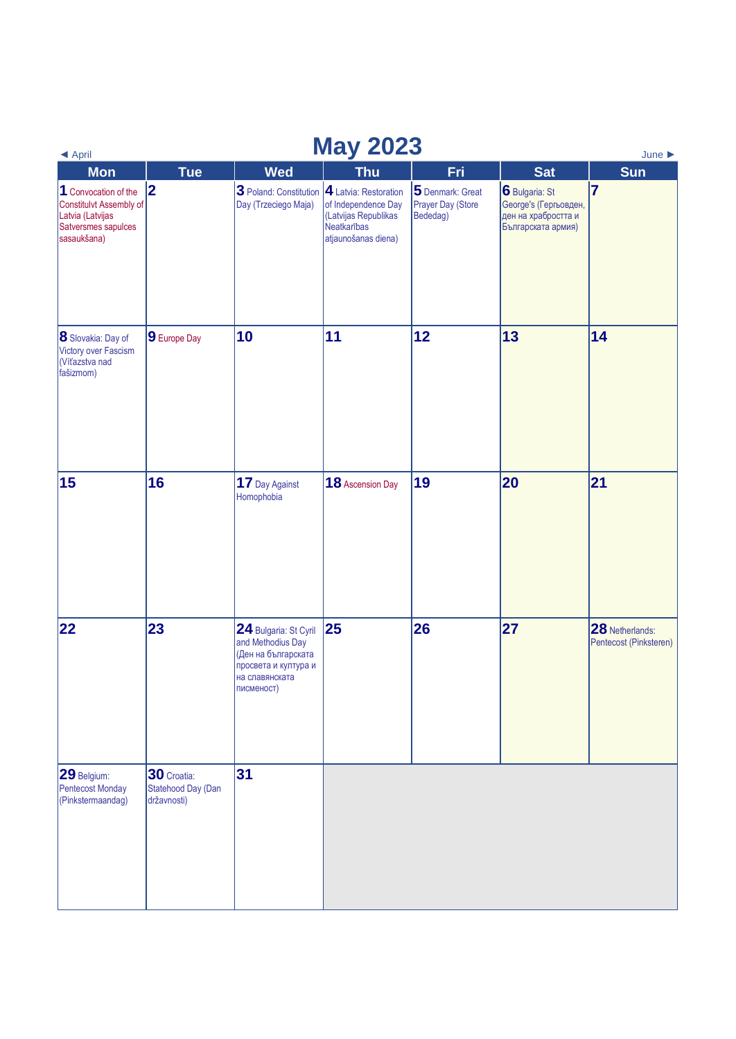## ◄ [April](https://www.wincalendar.com/EU-Calendar/April-2023) **May 2023** [June ►](https://www.wincalendar.com/EU-Calendar/June-2023)

| $\blacktriangleleft$ April                                                                                |                                                  |                                                                                                                           | ---- <b>-</b>                                                                                              |                                                   |                                                                                      | June <b>P</b>                             |
|-----------------------------------------------------------------------------------------------------------|--------------------------------------------------|---------------------------------------------------------------------------------------------------------------------------|------------------------------------------------------------------------------------------------------------|---------------------------------------------------|--------------------------------------------------------------------------------------|-------------------------------------------|
| <b>Mon</b>                                                                                                | <b>Tue</b>                                       | <b>Wed</b>                                                                                                                | <b>Thu</b>                                                                                                 | Fri                                               | <b>Sat</b>                                                                           | <b>Sun</b>                                |
| 1 Convocation of the<br>Constitulvt Assembly of<br>Latvia (Latvijas<br>Satversmes sapulces<br>sasaukšana) | 2                                                | 3 Poland: Constitution<br>Day (Trzeciego Maja)                                                                            | 4 Latvia: Restoration<br>of Independence Day<br>(Latvijas Republikas<br>Neatkarības<br>atjaunošanas diena) | 5 Denmark: Great<br>Prayer Day (Store<br>Bededag) | 6 Bulgaria: St<br>George's (Гергьовден,<br>ден на храбростта и<br>Българската армия) | $\overline{7}$                            |
| 8 Slovakia: Day of<br>Victory over Fascism<br>(Víťazstva nad<br>fašizmom)                                 | 9 Europe Day                                     | 10                                                                                                                        | 11                                                                                                         | 12                                                | 13                                                                                   | 14                                        |
| 15                                                                                                        | 16                                               | 17 Day Against<br>Homophobia                                                                                              | 18 Ascension Day                                                                                           | 19                                                | 20                                                                                   | 21                                        |
| 22                                                                                                        | 23                                               | 24 Bulgaria: St Cyril<br>and Methodius Day<br>(Ден на българската<br>просвета и култура и<br>на славянската<br>писменост) | 25                                                                                                         | 26                                                | 27                                                                                   | 28 Netherlands:<br>Pentecost (Pinksteren) |
| 29 Belgium:<br><b>Pentecost Monday</b><br>(Pinkstermaandag)                                               | 30 Croatia:<br>Statehood Day (Dan<br>državnosti) | 31                                                                                                                        |                                                                                                            |                                                   |                                                                                      |                                           |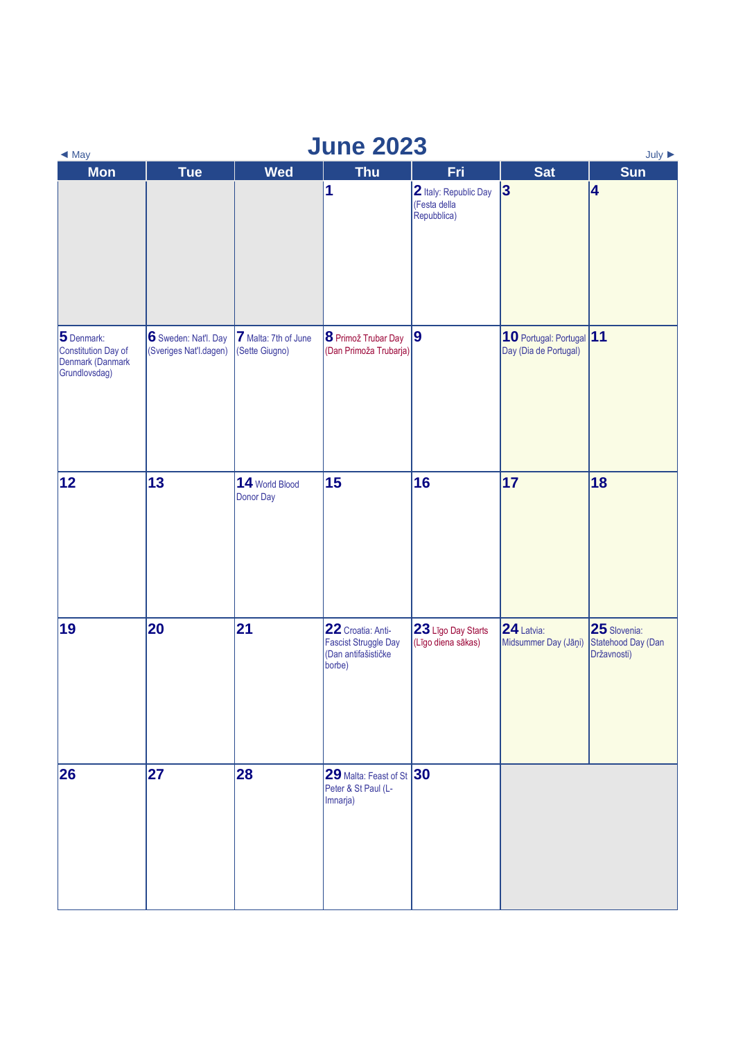| <b>June 2023</b><br>July $\blacktriangleright$<br>$\triangleleft$ May         |                                                |                                        |                                                                                   |                                                      |                                                   |                                                   |  |  |
|-------------------------------------------------------------------------------|------------------------------------------------|----------------------------------------|-----------------------------------------------------------------------------------|------------------------------------------------------|---------------------------------------------------|---------------------------------------------------|--|--|
| Mon                                                                           | <b>Tue</b>                                     | <b>Wed</b>                             | <b>Thu</b>                                                                        | Fri                                                  | <b>Sat</b>                                        | Sun                                               |  |  |
|                                                                               |                                                |                                        | $\overline{\mathbf{1}}$                                                           | 2 Italy: Republic Day<br>(Festa della<br>Repubblica) | 3                                                 | 4                                                 |  |  |
| 5 Denmark:<br><b>Constitution Day of</b><br>Denmark (Danmark<br>Grundlovsdag) | 6 Sweden: Nat'l. Day<br>(Sveriges Nat'l.dagen) | 7 Malta: 7th of June<br>(Sette Giugno) | 8 Primož Trubar Day<br>(Dan Primoža Trubarja)                                     | 9                                                    | 10 Portugal: Portugal 11<br>Day (Dia de Portugal) |                                                   |  |  |
| 12                                                                            | 13                                             | 14 World Blood<br>Donor Day            | 15                                                                                | 16                                                   | 17                                                | 18                                                |  |  |
| 19                                                                            | 20                                             | 21                                     | 22 Croatia: Anti-<br><b>Fascist Struggle Day</b><br>(Dan antifašističke<br>borbe) | 23 Līgo Day Starts<br>(Līgo diena sākas)             | 24 Latvia:<br>Midsummer Day (Jāņi)                | 25 Slovenia:<br>Statehood Day (Dan<br>Državnosti) |  |  |
| 26                                                                            | 27                                             | 28                                     | $ 29$ Malta: Feast of St $ 30$<br>Peter & St Paul (L-<br>Imnarja)                 |                                                      |                                                   |                                                   |  |  |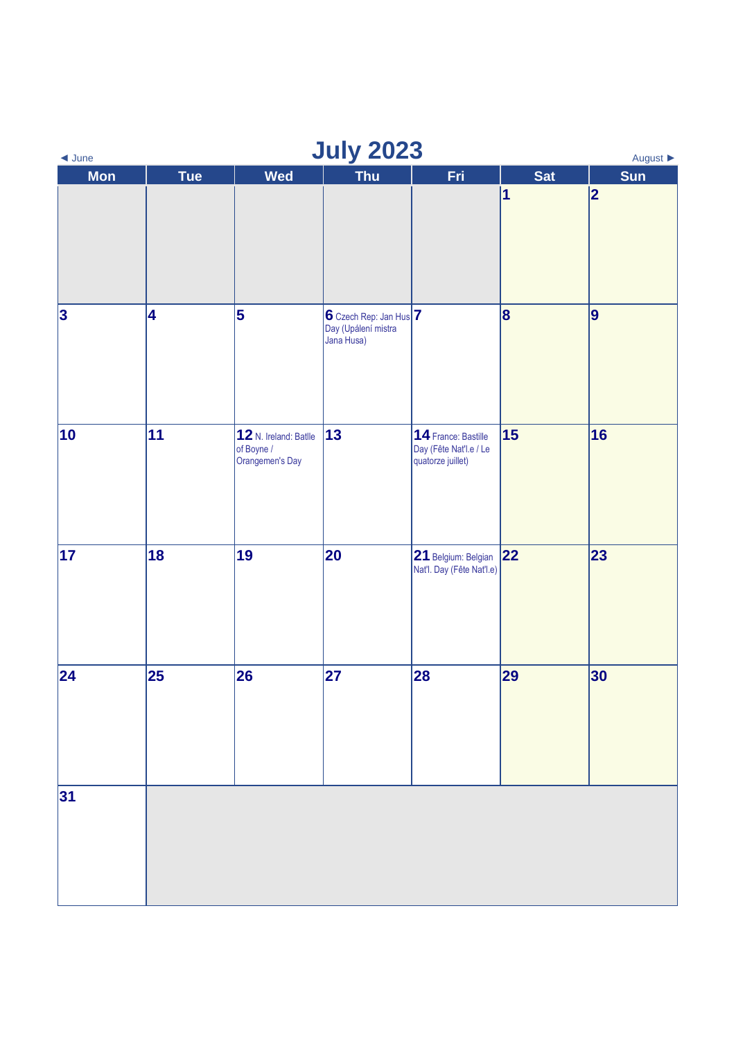| <b>July 2023</b><br>August $\blacktriangleright$<br>$\triangleleft$ June |     |                                                        |                                                                   |                                                                    |                |            |  |  |
|--------------------------------------------------------------------------|-----|--------------------------------------------------------|-------------------------------------------------------------------|--------------------------------------------------------------------|----------------|------------|--|--|
| <b>Mon</b>                                                               | Tue | <b>Wed</b>                                             | Thu                                                               | Fri                                                                | <b>Sat</b>     | <b>Sun</b> |  |  |
|                                                                          |     |                                                        |                                                                   |                                                                    | $\vert$ 1      | 2          |  |  |
| $\vert$ 3                                                                | 4   | $\overline{\mathbf{5}}$                                | $6$ Czech Rep: Jan Hus $ 7 $<br>Day (Upálení mistra<br>Jana Husa) |                                                                    | $ \mathbf{8} $ | 9          |  |  |
| 10                                                                       | 11  | 12 N. Ireland: Batlle<br>of Boyne /<br>Orangemen's Day | $ 13\rangle$                                                      | 14 France: Bastille<br>Day (Fête Nat'l.e / Le<br>quatorze juillet) | 15             | 16         |  |  |
| 17                                                                       | 18  | 19                                                     | 20                                                                | 21 Belgium: Belgian<br>Nat'l. Day (Fête Nat'l.e)                   | 22             | 23         |  |  |
| 24                                                                       | 25  | 26                                                     | 27                                                                | 28                                                                 | 29             | 30         |  |  |
| 31                                                                       |     |                                                        |                                                                   |                                                                    |                |            |  |  |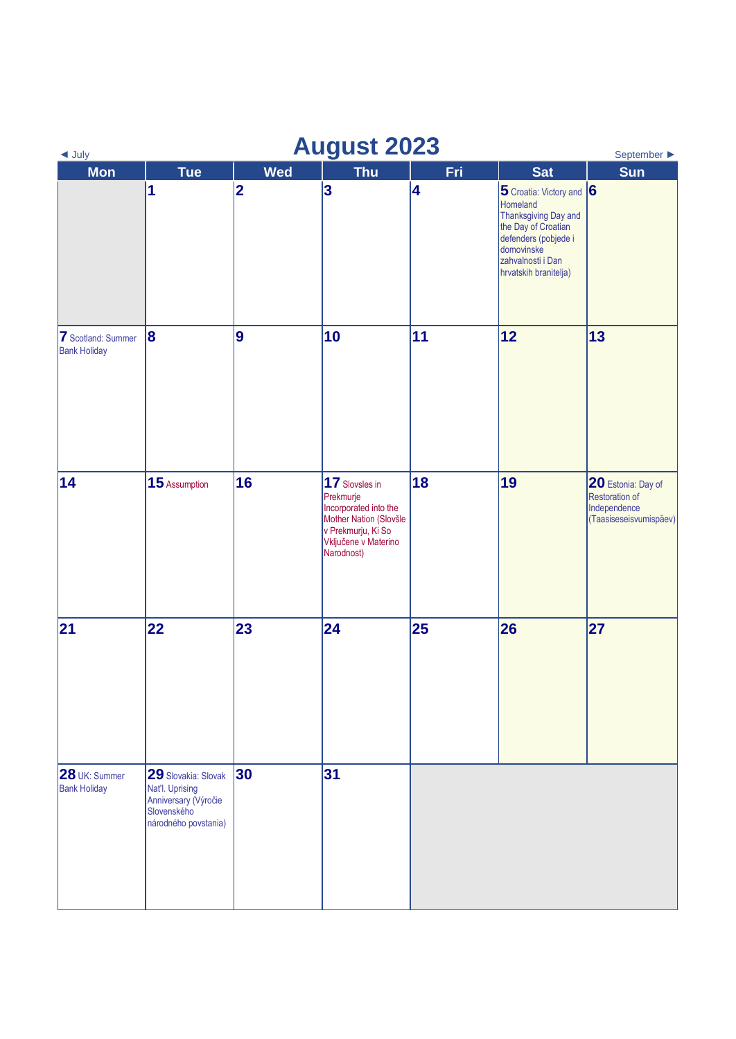| <b>August 2023</b><br>September $\blacktriangleright$<br>$\triangleleft$ July |                                                                                                       |            |                                                                                                                                            |     |                                                                                                                                                                                |                                                                                       |  |  |
|-------------------------------------------------------------------------------|-------------------------------------------------------------------------------------------------------|------------|--------------------------------------------------------------------------------------------------------------------------------------------|-----|--------------------------------------------------------------------------------------------------------------------------------------------------------------------------------|---------------------------------------------------------------------------------------|--|--|
| <b>Mon</b>                                                                    | <b>Tue</b>                                                                                            | <b>Wed</b> | <b>Thu</b>                                                                                                                                 | Fri | <b>Sat</b>                                                                                                                                                                     | <b>Sun</b>                                                                            |  |  |
|                                                                               | 1                                                                                                     | 2          | 3                                                                                                                                          | 4   | $ 5$ Croatia: Victory and $ 6 $<br>Homeland<br>Thanksgiving Day and<br>the Day of Croatian<br>defenders (pobjede i<br>domovinske<br>zahvalnosti i Dan<br>hrvatskih branitelja) |                                                                                       |  |  |
| <b>7</b> Scotland: Summer<br><b>Bank Holiday</b>                              | 8                                                                                                     | 9          | 10                                                                                                                                         | 11  | 12                                                                                                                                                                             | 13                                                                                    |  |  |
| 14                                                                            | 15 Assumption                                                                                         | 16         | 17 Slovsles in<br>Prekmurje<br>Incorporated into the<br>Mother Nation (Slovšle<br>v Prekmurju, Ki So<br>Vključene v Materino<br>Narodnost) | 18  | 19                                                                                                                                                                             | 20 Estonia: Day of<br><b>Restoration of</b><br>Independence<br>(Taasiseseisvumispäev) |  |  |
| 21                                                                            | 22                                                                                                    | 23         | $\overline{24}$                                                                                                                            | 25  | 26                                                                                                                                                                             | 27                                                                                    |  |  |
| 28 UK: Summer<br><b>Bank Holiday</b>                                          | 29 Slovakia: Slovak<br>Nat'l. Uprising<br>Anniversary (Výročie<br>Slovenského<br>národného povstania) | 30         | 31                                                                                                                                         |     |                                                                                                                                                                                |                                                                                       |  |  |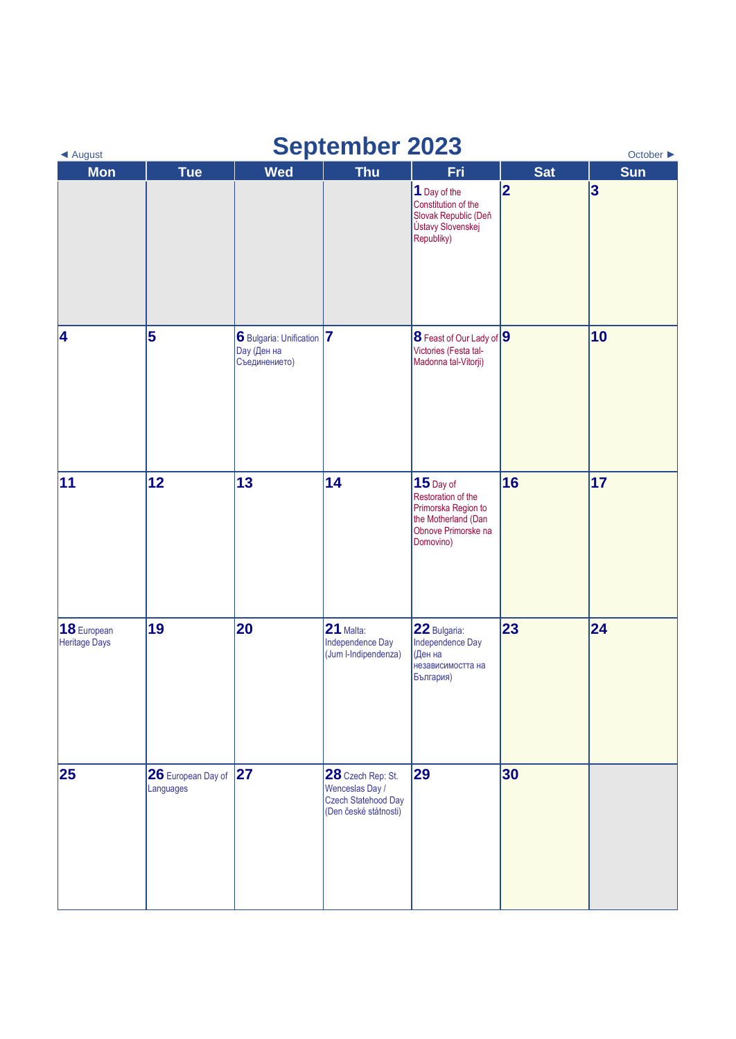| <b>September 2023</b><br>October $\blacktriangleright$<br>◀ August |                                 |                                                                  |                                                                                      |                                                                                                                     |            |                 |  |
|--------------------------------------------------------------------|---------------------------------|------------------------------------------------------------------|--------------------------------------------------------------------------------------|---------------------------------------------------------------------------------------------------------------------|------------|-----------------|--|
| <b>Mon</b>                                                         | <b>Tue</b>                      | <b>Wed</b>                                                       | <b>Thu</b>                                                                           | Fri                                                                                                                 | <b>Sat</b> | Sun             |  |
|                                                                    |                                 |                                                                  |                                                                                      | 1 Day of the<br>Constitution of the<br>Slovak Republic (Deň<br>Ústavy Slovenskej<br>Republiky)                      | 2          | $\vert 3 \vert$ |  |
| 4                                                                  | 5                               | 6 Bulgaria: Unification 7<br><b>Day</b> (Ден на<br>Съединението) |                                                                                      | 8 Feast of Our Lady of 9<br>Victories (Festa tal-<br>Madonna tal-Vitorji)                                           |            | 10              |  |
| 11                                                                 | 12                              | 13                                                               | 14                                                                                   | $15$ Day of<br>Restoration of the<br>Primorska Region to<br>the Motherland (Dan<br>Obnove Primorske na<br>Domovino) | 16         | 17              |  |
| 18 European<br>Heritage Days                                       | 19                              | 20                                                               | $21$ Malta:<br>Independence Day<br>(Jum I-Indipendenza)                              | 22 Bulgaria:<br>Independence Day<br>(Ден на<br>независимостта на<br>България)                                       | 23         | 24              |  |
| 25                                                                 | 26 European Day of<br>Languages | 27                                                               | 28 Czech Rep: St.<br>Wenceslas Day /<br>Czech Statehood Day<br>(Den české státnosti) | 29                                                                                                                  | 30         |                 |  |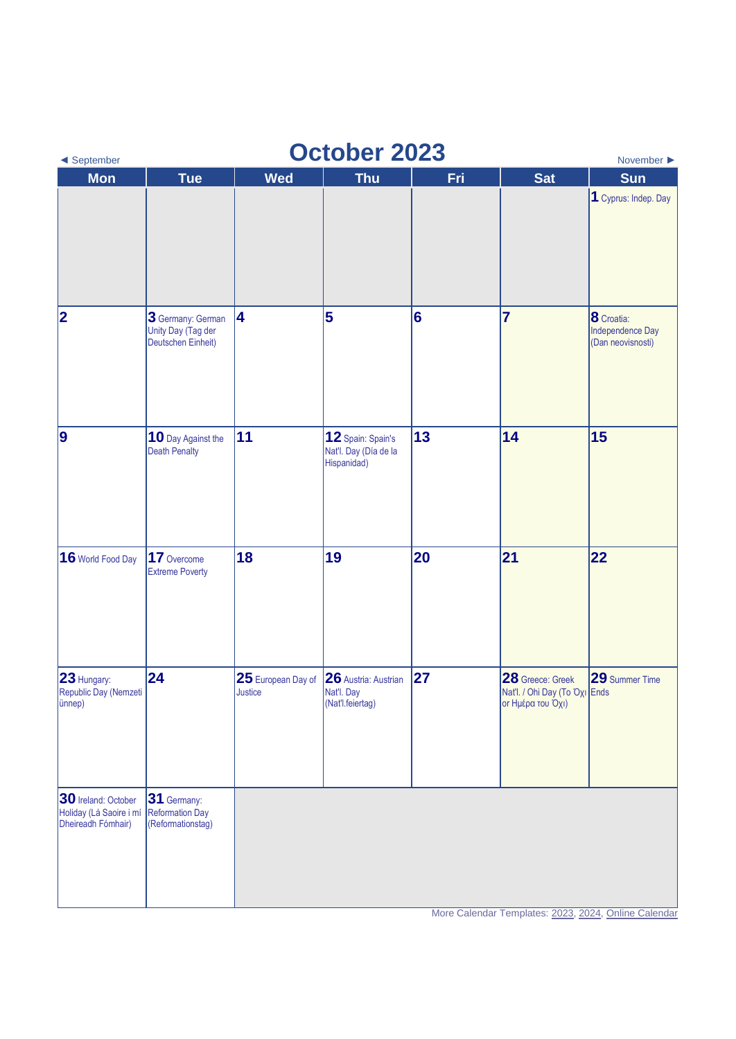| ◀ September                                                          | <b>October 2023</b><br>November $\blacktriangleright$                |                                                           |                                                           |     |                                                                        |                                                     |  |  |  |
|----------------------------------------------------------------------|----------------------------------------------------------------------|-----------------------------------------------------------|-----------------------------------------------------------|-----|------------------------------------------------------------------------|-----------------------------------------------------|--|--|--|
| <b>Mon</b>                                                           | <b>Tue</b>                                                           | <b>Wed</b>                                                | <b>Thu</b>                                                | Fri | <b>Sat</b>                                                             | <b>Sun</b>                                          |  |  |  |
|                                                                      |                                                                      |                                                           |                                                           |     |                                                                        | 1 Cyprus: Indep. Day                                |  |  |  |
| 2                                                                    | 3 Germany: German<br>Unity Day (Tag der<br><b>Deutschen Einheit)</b> | 4                                                         | 5                                                         | 6   | $\overline{7}$                                                         | 8 Croatia:<br>Independence Day<br>(Dan neovisnosti) |  |  |  |
| 9                                                                    | 10 Day Against the<br><b>Death Penalty</b>                           | 11                                                        | 12 Spain: Spain's<br>Nat'l. Day (Día de la<br>Hispanidad) | 13  | 14                                                                     | 15                                                  |  |  |  |
| 16 World Food Day                                                    | 17 Overcome<br><b>Extreme Poverty</b>                                | 18                                                        | 19                                                        | 20  | 21                                                                     | 22                                                  |  |  |  |
| 23 Hungary:<br>Republic Day (Nemzeti                                 | 24                                                                   | 25 European Day of 26 Austria: Austrian<br><b>Justice</b> | Nat'l. Day<br>(Nat'l.feiertag)                            | 27  | 28 Greece: Greek<br>Nat'l. / Ohi Day (To Oxi Ends<br>or Ημέρα του Όχι) | 29 Summer Time                                      |  |  |  |
| 30 Ireland: October<br>Holiday (Lá Saoire i mí<br>Dheireadh Fómhair) | 31 Germany:<br><b>Reformation Day</b><br>(Reformationstag)           |                                                           |                                                           |     |                                                                        |                                                     |  |  |  |

More Calendar Templates[: 2023,](https://www.wincalendar.com/2023-Calendar-with-EU-Holidays) [2024,](https://www.wincalendar.com/2024-Calendar-with-EU-Holidays) [Online Calendar](https://www.wincalendar.com/EU-Calendar/2023)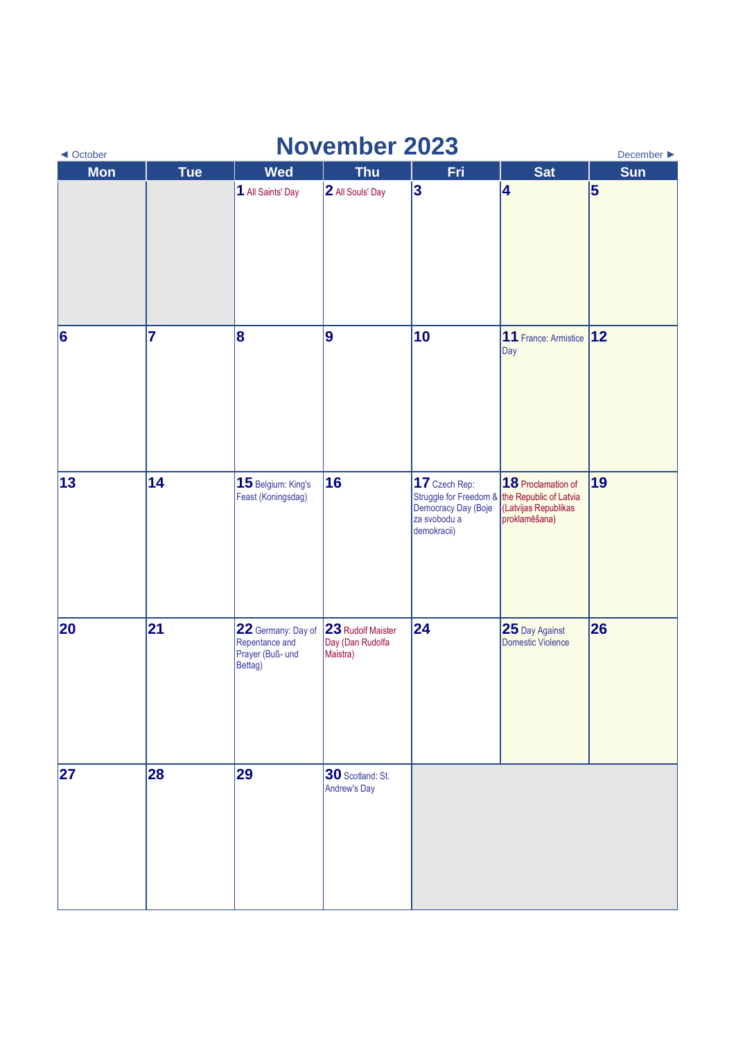| <b>November 2023</b><br>December $\blacktriangleright$<br>◀ October |            |                                                                     |                                                   |                                                                                                                                           |                                                             |     |  |  |
|---------------------------------------------------------------------|------------|---------------------------------------------------------------------|---------------------------------------------------|-------------------------------------------------------------------------------------------------------------------------------------------|-------------------------------------------------------------|-----|--|--|
| <b>Mon</b>                                                          | <b>Tue</b> | <b>Wed</b>                                                          | <b>Thu</b>                                        | Fri                                                                                                                                       | <b>Sat</b>                                                  | Sun |  |  |
|                                                                     |            | 1 All Saints' Day                                                   | 2 All Souls' Day                                  | $\vert$ 3                                                                                                                                 | 4                                                           | 5   |  |  |
| $\vert 6 \vert$                                                     | 7          | $\overline{\mathbf{8}}$                                             | 9                                                 | 10                                                                                                                                        | 11 France: Armistice<br>Day                                 | 12  |  |  |
| 13                                                                  | 14         | 15 Belgium: King's<br>Feast (Koningsdag)                            | 16                                                | 17 Czech Rep:<br>Struggle for Freedom & the Republic of Latvia<br>Democracy Day (Boje (Latvijas Republikas<br>za svobodu a<br>demokracii) | 18 Proclamation of<br>(Latvijas Republikas<br>proklamēšana) | 19  |  |  |
| 20                                                                  | 21         | 22 Germany: Day of<br>Repentance and<br>Prayer (Buß- und<br>Bettag) | 23 Rudolf Maister<br>Day (Dan Rudolfa<br>Maistra) | 24                                                                                                                                        | 25 Day Against<br>Domestic Violence                         | 26  |  |  |
| 27                                                                  | 28         | 29                                                                  | 30 Scotland: St.<br>Andrew's Day                  |                                                                                                                                           |                                                             |     |  |  |